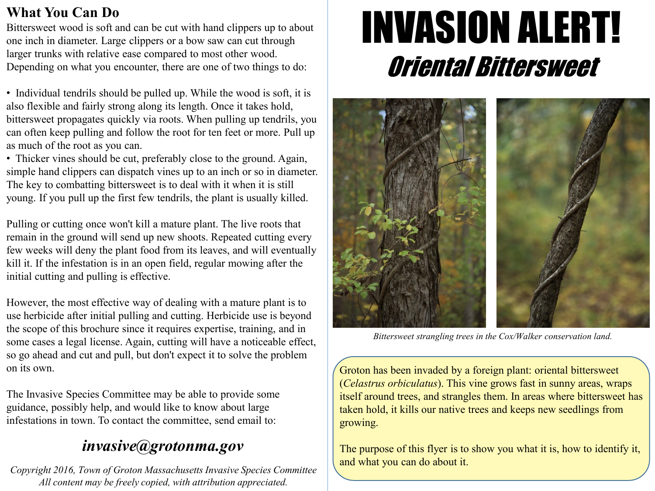### **What You Can Do**

Bittersweet wood is soft and can be cut with hand clippers up to about one inch in diameter. Large clippers or a bow saw can cut through larger trunks with relative ease compared to most other wood. Depending on what you encounter, there are one of two things to do:

• Individual tendrils should be pulled up. While the wood is soft, it is also flexible and fairly strong along its length. Once it takes hold, bittersweet propagates quickly via roots. When pulling up tendrils, you can often keep pulling and follow the root for ten feet or more. Pull up as much of the root as you can.

• Thicker vines should be cut, preferably close to the ground. Again, simple hand clippers can dispatch vines up to an inch or so in diameter. The key to combatting bittersweet is to deal with it when it is still young. If you pull up the first few tendrils, the plant is usually killed.

Pulling or cutting once won't kill a mature plant. The live roots that remain in the ground will send up new shoots. Repeated cutting every few weeks will deny the plant food from its leaves, and will eventually kill it. If the infestation is in an open field, regular mowing after the initial cutting and pulling is effective.

However, the most effective way of dealing with a mature plant is to use herbicide after initial pulling and cutting. Herbicide use is beyond the scope of this brochure since it requires expertise, training, and in some cases a legal license. Again, cutting will have a noticeable effect, so go ahead and cut and pull, but don't expect it to solve the problem on its own.

The Invasive Species Committee may be able to provide some guidance, possibly help, and would like to know about large infestations in town. To contact the committee, send email to:

# *invasive@grotonma.gov*

*Copyright 2016, Town of Groton Massachusetts Invasive Species Committee All content may be freely copied, with attribution appreciated.*

# INVASION ALERT! Oriental Bittersweet



*Bittersweet strangling trees in the Cox/Walker conservation land.*

Groton has been invaded by a foreign plant: oriental bittersweet (*Celastrus orbiculatus*). This vine grows fast in sunny areas, wraps itself around trees, and strangles them. In areas where bittersweet has taken hold, it kills our native trees and keeps new seedlings from growing.

The purpose of this flyer is to show you what it is, how to identify it, and what you can do about it.